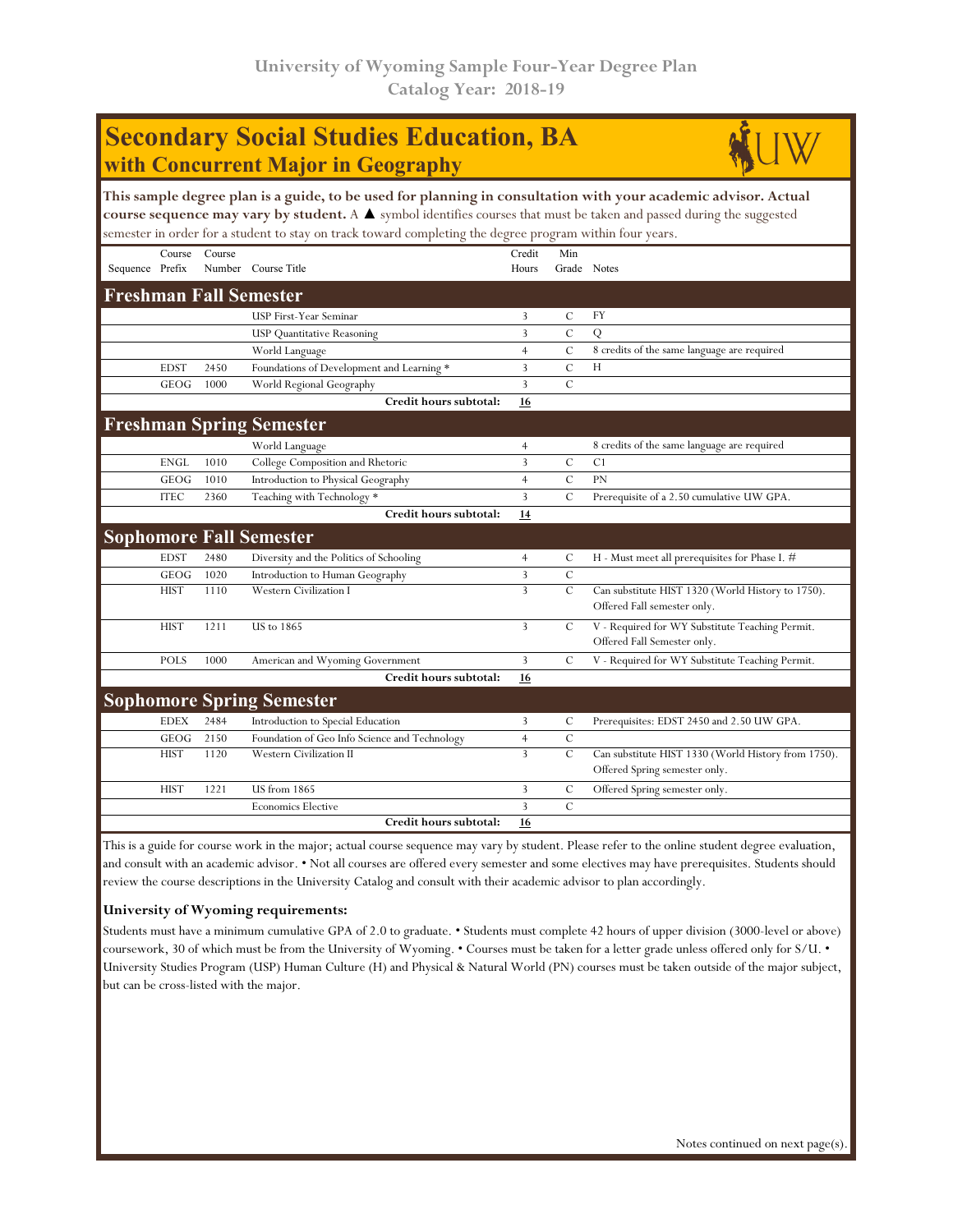| <b>Secondary Social Studies Education, BA</b><br>with Concurrent Major in Geography                                                                                                                                                                                                                                                                                |             |        |                                               |                 |                |                                                                                      |  |  |  |  |
|--------------------------------------------------------------------------------------------------------------------------------------------------------------------------------------------------------------------------------------------------------------------------------------------------------------------------------------------------------------------|-------------|--------|-----------------------------------------------|-----------------|----------------|--------------------------------------------------------------------------------------|--|--|--|--|
| This sample degree plan is a guide, to be used for planning in consultation with your academic advisor. Actual<br>course sequence may vary by student. A $\blacktriangle$ symbol identifies courses that must be taken and passed during the suggested<br>semester in order for a student to stay on track toward completing the degree program within four years. |             |        |                                               |                 |                |                                                                                      |  |  |  |  |
| Sequence Prefix                                                                                                                                                                                                                                                                                                                                                    | Course      | Course | Number Course Title                           | Credit<br>Hours | Min            | Grade Notes                                                                          |  |  |  |  |
|                                                                                                                                                                                                                                                                                                                                                                    |             |        | <b>Freshman Fall Semester</b>                 |                 |                |                                                                                      |  |  |  |  |
|                                                                                                                                                                                                                                                                                                                                                                    |             |        | USP First-Year Seminar                        | 3               | C              | FY                                                                                   |  |  |  |  |
|                                                                                                                                                                                                                                                                                                                                                                    |             |        | <b>USP</b> Quantitative Reasoning             | 3               | $\overline{C}$ | Q                                                                                    |  |  |  |  |
|                                                                                                                                                                                                                                                                                                                                                                    |             |        | World Language                                | $\overline{4}$  | $\mathcal{C}$  | 8 credits of the same language are required                                          |  |  |  |  |
|                                                                                                                                                                                                                                                                                                                                                                    | <b>EDST</b> | 2450   | Foundations of Development and Learning *     | 3               | $\mathcal{C}$  | H                                                                                    |  |  |  |  |
|                                                                                                                                                                                                                                                                                                                                                                    | GEOG        | 1000   | World Regional Geography                      | 3               | $\mathcal{C}$  |                                                                                      |  |  |  |  |
|                                                                                                                                                                                                                                                                                                                                                                    |             |        | Credit hours subtotal:                        | 16              |                |                                                                                      |  |  |  |  |
|                                                                                                                                                                                                                                                                                                                                                                    |             |        | <b>Freshman Spring Semester</b>               |                 |                |                                                                                      |  |  |  |  |
|                                                                                                                                                                                                                                                                                                                                                                    |             |        | World Language                                | $\overline{4}$  |                | 8 credits of the same language are required                                          |  |  |  |  |
|                                                                                                                                                                                                                                                                                                                                                                    | <b>ENGL</b> | 1010   | College Composition and Rhetoric              | $\overline{3}$  | $\cal C$       | C1                                                                                   |  |  |  |  |
|                                                                                                                                                                                                                                                                                                                                                                    | GEOG        | 1010   | Introduction to Physical Geography            | $\overline{4}$  | $\mathbf C$    | <b>PN</b>                                                                            |  |  |  |  |
|                                                                                                                                                                                                                                                                                                                                                                    | <b>ITEC</b> | 2360   | Teaching with Technology *                    | $\overline{3}$  | $\mathcal{C}$  | Prerequisite of a 2.50 cumulative UW GPA.                                            |  |  |  |  |
|                                                                                                                                                                                                                                                                                                                                                                    |             |        | Credit hours subtotal:                        | 14              |                |                                                                                      |  |  |  |  |
|                                                                                                                                                                                                                                                                                                                                                                    |             |        | <b>Sophomore Fall Semester</b>                |                 |                |                                                                                      |  |  |  |  |
|                                                                                                                                                                                                                                                                                                                                                                    | <b>EDST</b> | 2480   | Diversity and the Politics of Schooling       | $\overline{4}$  | $\mathcal{C}$  | H - Must meet all prerequisites for Phase I. #                                       |  |  |  |  |
|                                                                                                                                                                                                                                                                                                                                                                    | <b>GEOG</b> | 1020   | Introduction to Human Geography               | 3               | $\mathcal{C}$  |                                                                                      |  |  |  |  |
|                                                                                                                                                                                                                                                                                                                                                                    | <b>HIST</b> | 1110   | <b>Western Civilization I</b>                 | $\overline{3}$  | $\cal C$       | Can substitute HIST 1320 (World History to 1750).<br>Offered Fall semester only.     |  |  |  |  |
|                                                                                                                                                                                                                                                                                                                                                                    | <b>HIST</b> | 1211   | <b>US</b> to 1865                             | $\overline{3}$  | C              | V - Required for WY Substitute Teaching Permit.<br>Offered Fall Semester only.       |  |  |  |  |
|                                                                                                                                                                                                                                                                                                                                                                    | <b>POLS</b> | 1000   | American and Wyoming Government               | 3               | C              | V - Required for WY Substitute Teaching Permit.                                      |  |  |  |  |
|                                                                                                                                                                                                                                                                                                                                                                    |             |        | Credit hours subtotal:                        | 16              |                |                                                                                      |  |  |  |  |
|                                                                                                                                                                                                                                                                                                                                                                    |             |        | <b>Sophomore Spring Semester</b>              |                 |                |                                                                                      |  |  |  |  |
|                                                                                                                                                                                                                                                                                                                                                                    | <b>EDEX</b> | 2484   | Introduction to Special Education             | 3               | C              | Prerequisites: EDST 2450 and 2.50 UW GPA.                                            |  |  |  |  |
|                                                                                                                                                                                                                                                                                                                                                                    | <b>GEOG</b> | 2150   | Foundation of Geo Info Science and Technology | $\overline{4}$  | $\mathcal{C}$  |                                                                                      |  |  |  |  |
|                                                                                                                                                                                                                                                                                                                                                                    | <b>HIST</b> | 1120   | Western Civilization II                       | $\overline{3}$  | $\mathcal{C}$  | Can substitute HIST 1330 (World History from 1750).<br>Offered Spring semester only. |  |  |  |  |
|                                                                                                                                                                                                                                                                                                                                                                    | <b>HIST</b> | 1221   | <b>US</b> from 1865                           | 3               | C              | Offered Spring semester only.                                                        |  |  |  |  |
|                                                                                                                                                                                                                                                                                                                                                                    |             |        | <b>Economics Elective</b>                     | 3               | $\mathbf C$    |                                                                                      |  |  |  |  |
|                                                                                                                                                                                                                                                                                                                                                                    |             |        | Credit hours subtotal:                        | 16              |                |                                                                                      |  |  |  |  |

This is a guide for course work in the major; actual course sequence may vary by student. Please refer to the online student degree evaluation, and consult with an academic advisor. • Not all courses are offered every semester and some electives may have prerequisites. Students should review the course descriptions in the University Catalog and consult with their academic advisor to plan accordingly.

## **University of Wyoming requirements:**

Students must have a minimum cumulative GPA of 2.0 to graduate. • Students must complete 42 hours of upper division (3000-level or above) coursework, 30 of which must be from the University of Wyoming. • Courses must be taken for a letter grade unless offered only for S/U. • University Studies Program (USP) Human Culture (H) and Physical & Natural World (PN) courses must be taken outside of the major subject, but can be cross-listed with the major.